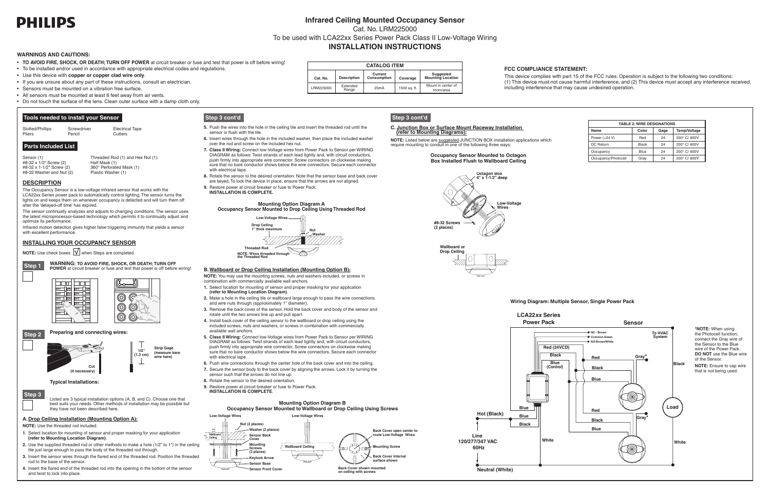# **PHILIPS**

# **Infrared Ceiling Mounted Occupancy Sensor**

Cat. No. LRM225000

To be used with LCA22xx Series Power Pack Class II Low-Voltage Wiring

# **INSTALLATION INSTRUCTIONS**



# **INSTALLING YOUR OCCUPANCY SENSOR**

**NOTE:** Use check boxes  $\boxed{\mathbf{V}}$  when Steps are completed.





**White**

**Blue Blue**

**Black**

**LCA22***xx* **Series Power Pack**

#### **Occupancy Sensor Mounted to Octagon Box Installed Flush to Wallboard Ceiling**



#### **Wiring Diagram: Multiple Sensor, Single Power Pack**



- • **TO AVOID FIRE, SHOCK, OR DEATH; TURN OFF POWER** at circuit breaker or fuse and test that power is off before wiring!
- • To be installed and/or used in accordance with appropriate electrical codes and regulations.
- • Use this device with **copper or copper clad wire only**.
- If you are unsure about any part of these instructions, consult an electrician.
- Sensors must be mounted on a vibration free surface.
- All sensors must be mounted at least 6 feet away from air vents.
- Do not touch the surface of the lens. Clean outer surface with a damp cloth only.

| <b>TABLE 2: WIRE DESIGNATIONS</b> |              |              |              |  |  |  |  |
|-----------------------------------|--------------|--------------|--------------|--|--|--|--|
| Name                              | Gage         | Temp/Voltage |              |  |  |  |  |
| Power (+24 V)                     | Red          | 24           | 200° C/600V  |  |  |  |  |
| <b>DC</b> Return                  | <b>Black</b> | 24           | 200° C/600V  |  |  |  |  |
| Occupancy                         | Blue         | 24           | 200° C/600V  |  |  |  |  |
| Occupancy/Photocell               | Gray         | 24           | 200° C/ 600V |  |  |  |  |



# **A.Drop Ceiling Installation (Mounting Option A):**



**NOTE:** Use the threaded rod included.

**Step 3** Listed are 3 typical installation options (A, B, and C). Choose one that best suits your needs. Other methods of installation may be possible but they have not been described here.

- **1.** Select location for mounting of sensor and proper masking for your application **(refer to Mounting Location Diagram)**.
- **2.** Use the supplied threaded rod or other methods to make a hole (1/2" to 1") in the ceiling tile just large enough to pass the body of the threaded rod through.
- **3.** Insert the sensor wires through the flared end of the threaded rod. Position the threaded rod to the base of the sensor.
- **4.** Insert the flared end of the threaded rod into the opening in the bottom of the sensor and twist to lock into place.

# **DESCRIPTION**

The Occupancy Sensor is a low-voltage infrared sensor that works with the LCA22xx Series power pack to automatically control lighting. The sensor turns the lights on and keeps them on whenever occupancy is detected and will turn them off after the 'delayed-off time' has expired.

The sensor continually analyzes and adjusts to changing conditions. The sensor uses the latest microprocessor-based technology which permits it to continually adjust and optimize its performance.

Infrared motion detection gives higher false triggering immunity that yields a sensor with excellent performance.

# **Tools needed to install your Sensor**



# **Parts Included List**

Sensor (1) Threaded Rod (1) and Hex Nut (1) <br>
#8-32 x 1/2" Screw (2) Half Mask (1) #8-32 x 1/2" Screw (2)<br>#8-32 x 1-1/2" Screw (2) 360° Perforated Mask (1)<br>Plastic Washer (1)  $#8-32$  Washer and Nut  $(2)$ 

### **WARNINGS AND CAUTIONS:**



**wire here)**

# **Typical Installations:**

- **5.** Push the wires into the hole in the ceiling tile and insert the threaded rod until the sensor is flush with the tile.
- **6.** Insert wires through the hole in the included washer, then place the included washer over the rod and screw on the included hex nut.
- **7. Class II Wiring:** Connect low-Voltage wires from Power Pack to Sensor per WIRING DIAGRAM as follows: Twist strands of each lead tightly and, with circuit conductors, push firmly into appropriate wire connector. Screw connectors on clockwise making sure that no bare conductor shows below the wire connectors. Secure each connector with electrical tape.
- **8.** Rotate the sensor to the desired orientation. Note that the sensor base and back cover are keyed. To lock the device in place, ensure that the arrows are not aligned.
- **9.** Restore power at circuit breaker or fuse to Power Pack. **INSTALLATION IS COMPLETE.**

#### **B.Wallboard or Drop Ceiling Installation (Mounting Option B):**

**NOTE:** You may use the mounting screws, nuts and washers included, or screws in combination with commercially available wall anchors.

- **1.** Select location for mounting of sensor and proper masking for your application **(refer to Mounting Location Diagram)**.
- **2.** Make a hole in the ceiling tile or wallboard large enough to pass the wire connections and wire nuts through (approximately 1" diameter).
- **3.** Remove the back cover of the sensor. Hold the back cover and body of the sensor and rotate until the two arrows line up and pull apart.
- **4.** Install back cover of the ceiling sensor to the wallboard or drop ceiling using the included screws, nuts and washers, or screws in combination with commercially available wall anchors.
- **5. Class II Wiring:** Connect low-Voltage wires from Power Pack to Sensor per WIRING DIAGRAM as follows: Twist strands of each lead tightly and, with circuit conductors, push firmly into appropriate wire connector. Screw connectors on clockwise making sure that no bare conductor shows below the wire connectors. Secure each connector with electrical tape.
- **6.** Push wire connections through the center hole of the back cover and into the ceiling.
- sensor such that the arrows do not line up.
- 
- **9.** Restore power at circuit breaker or fuse to Power Pack.



# **FCC COMPLIANCE STATEMENT:**

This device complies with part 15 of the FCC rules. Operation is subject to the following two conditions: (1) This device must not cause harmful interference, and (2) This device must accept any interference received, including interference that may cause undesired operation.

#### **C. Junction Box or Surface Mount Raceway Installation (refer to Mounting Diagrams):**

**NOTE:** Listed below are suggested JUNCTION BOX installation applications which require mounting to conduit in one of the following three ways:

| –<br>- - |  |
|----------|--|
|----------|--|